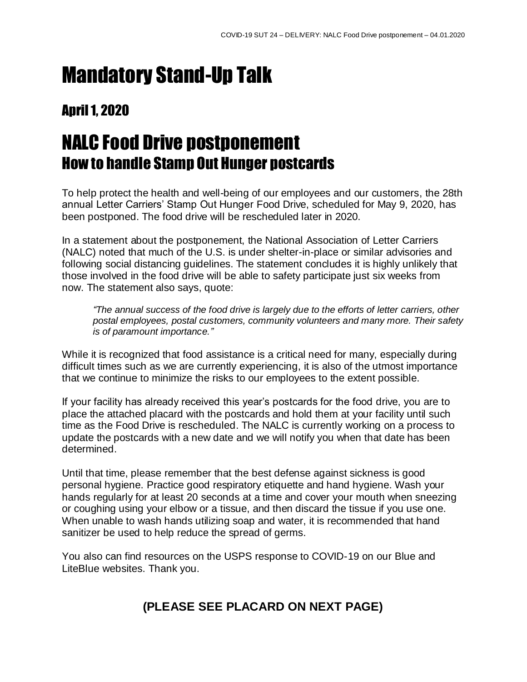### Mandatory Stand-Up Talk

#### **April 1, 2020**

### NALC Food Drive postponement How to handle Stamp Out Hunger postcards

To help protect the health and well-being of our employees and our customers, the 28th annual Letter Carriers' Stamp Out Hunger Food Drive, scheduled for May 9, 2020, has been postponed. The food drive will be rescheduled later in 2020.

In a statement about the postponement, the National Association of Letter Carriers (NALC) noted that much of the U.S. is under shelter-in-place or similar advisories and following social distancing guidelines. The statement concludes it is highly unlikely that those involved in the food drive will be able to safety participate just six weeks from now. The statement also says, quote:

*"The annual success of the food drive is largely due to the efforts of letter carriers, other postal employees, postal customers, community volunteers and many more. Their safety is of paramount importance."*

While it is recognized that food assistance is a critical need for many, especially during difficult times such as we are currently experiencing, it is also of the utmost importance that we continue to minimize the risks to our employees to the extent possible.

If your facility has already received this year's postcards for the food drive, you are to place the attached placard with the postcards and hold them at your facility until such time as the Food Drive is rescheduled. The NALC is currently working on a process to update the postcards with a new date and we will notify you when that date has been determined.

Until that time, please remember that the best defense against sickness is good personal hygiene. Practice good respiratory etiquette and hand hygiene. Wash your hands regularly for at least 20 seconds at a time and cover your mouth when sneezing or coughing using your elbow or a tissue, and then discard the tissue if you use one. When unable to wash hands utilizing soap and water, it is recommended that hand sanitizer be used to help reduce the spread of germs.

You also can find resources on the USPS response to COVID-19 on our Blue and LiteBlue websites. Thank you.

#### **(PLEASE SEE PLACARD ON NEXT PAGE)**